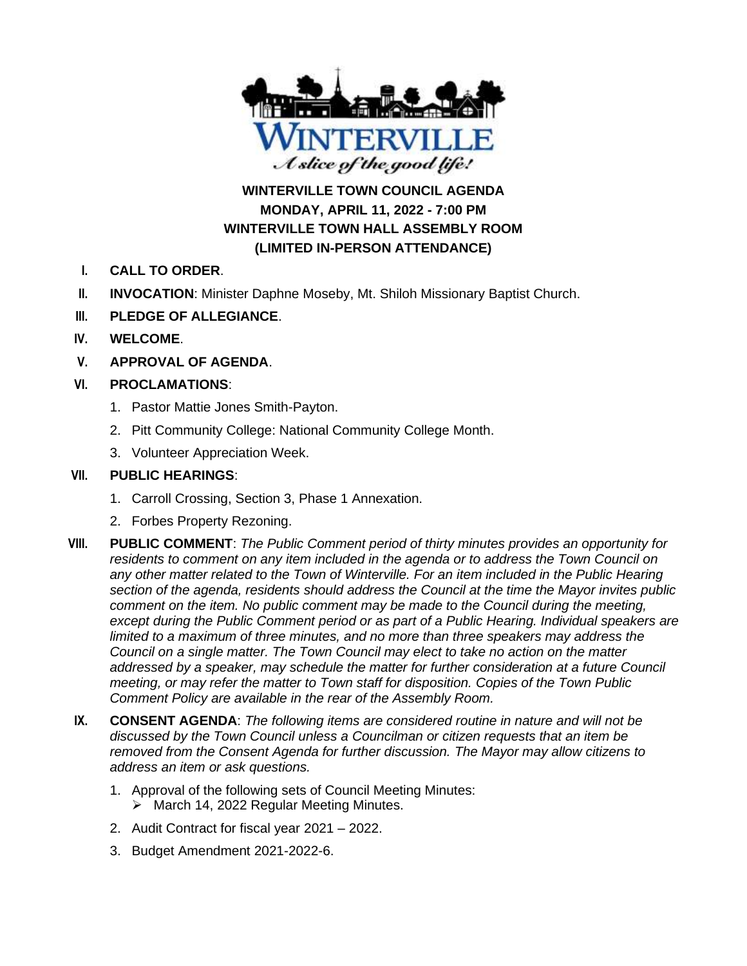

# **WINTERVILLE TOWN COUNCIL AGENDA MONDAY, APRIL 11, 2022 - 7:00 PM WINTERVILLE TOWN HALL ASSEMBLY ROOM (LIMITED IN-PERSON ATTENDANCE)**

- **I. CALL TO ORDER**.
- **II. INVOCATION**: Minister Daphne Moseby, Mt. Shiloh Missionary Baptist Church.
- **III. PLEDGE OF ALLEGIANCE**.
- **IV. WELCOME**.
- **V. APPROVAL OF AGENDA**.

### **VI. PROCLAMATIONS**:

- 1. Pastor Mattie Jones Smith-Payton.
- 2. Pitt Community College: National Community College Month.
- 3. Volunteer Appreciation Week.

#### **VII. PUBLIC HEARINGS**:

- 1. Carroll Crossing, Section 3, Phase 1 Annexation.
- 2. Forbes Property Rezoning.
- **VIII. PUBLIC COMMENT**: *The Public Comment period of thirty minutes provides an opportunity for residents to comment on any item included in the agenda or to address the Town Council on any other matter related to the Town of Winterville. For an item included in the Public Hearing section of the agenda, residents should address the Council at the time the Mayor invites public comment on the item. No public comment may be made to the Council during the meeting, except during the Public Comment period or as part of a Public Hearing. Individual speakers are limited to a maximum of three minutes, and no more than three speakers may address the Council on a single matter. The Town Council may elect to take no action on the matter addressed by a speaker, may schedule the matter for further consideration at a future Council meeting, or may refer the matter to Town staff for disposition. Copies of the Town Public Comment Policy are available in the rear of the Assembly Room.*
- **IX. CONSENT AGENDA**: *The following items are considered routine in nature and will not be discussed by the Town Council unless a Councilman or citizen requests that an item be removed from the Consent Agenda for further discussion. The Mayor may allow citizens to address an item or ask questions.*
	- 1. Approval of the following sets of Council Meeting Minutes:
		- ➢ March 14, 2022 Regular Meeting Minutes.
	- 2. Audit Contract for fiscal year 2021 2022.
	- 3. Budget Amendment 2021-2022-6.